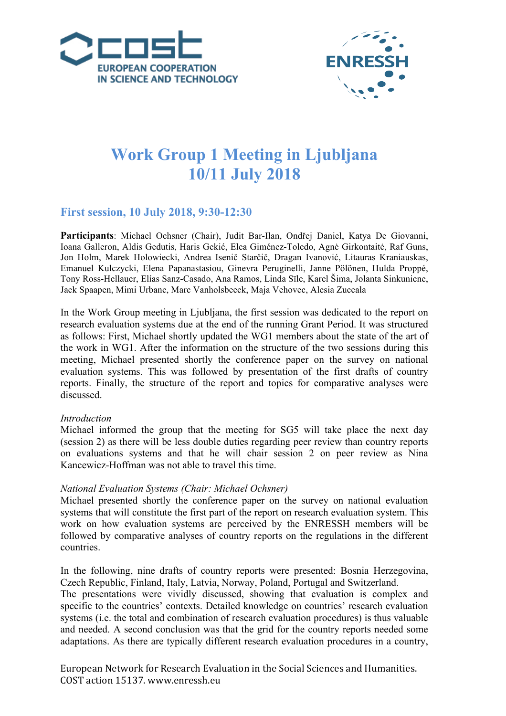



# **Work Group 1 Meeting in Ljubljana 10/11 July 2018**

## **First session, 10 July 2018, 9:30-12:30**

**Participants**: Michael Ochsner (Chair), Judit Bar-Ilan, Ondřej Daniel, Katya De Giovanni, Ioana Galleron, Aldis Gedutis, Haris Gekić, Elea Giménez-Toledo, Agnė Girkontaitė, Raf Guns, Jon Holm, Marek Holowiecki, Andrea Isenič Starčič, Dragan Ivanović, Litauras Kraniauskas, Emanuel Kulczycki, Elena Papanastasiou, Ginevra Peruginelli, Janne Pölönen, Hulda Proppé, Tony Ross-Hellauer, Elías Sanz-Casado, Ana Ramos, Linda Sīle, Karel Šima, Jolanta Sinkuniene, Jack Spaapen, Mimi Urbanc, Marc Vanholsbeeck, Maja Vehovec, Alesia Zuccala

In the Work Group meeting in Ljubljana, the first session was dedicated to the report on research evaluation systems due at the end of the running Grant Period. It was structured as follows: First, Michael shortly updated the WG1 members about the state of the art of the work in WG1. After the information on the structure of the two sessions during this meeting, Michael presented shortly the conference paper on the survey on national evaluation systems. This was followed by presentation of the first drafts of country reports. Finally, the structure of the report and topics for comparative analyses were discussed.

#### *Introduction*

Michael informed the group that the meeting for SG5 will take place the next day (session 2) as there will be less double duties regarding peer review than country reports on evaluations systems and that he will chair session 2 on peer review as Nina Kancewicz-Hoffman was not able to travel this time.

#### *National Evaluation Systems (Chair: Michael Ochsner)*

Michael presented shortly the conference paper on the survey on national evaluation systems that will constitute the first part of the report on research evaluation system. This work on how evaluation systems are perceived by the ENRESSH members will be followed by comparative analyses of country reports on the regulations in the different countries.

In the following, nine drafts of country reports were presented: Bosnia Herzegovina, Czech Republic, Finland, Italy, Latvia, Norway, Poland, Portugal and Switzerland.

The presentations were vividly discussed, showing that evaluation is complex and specific to the countries' contexts. Detailed knowledge on countries' research evaluation systems (i.e. the total and combination of research evaluation procedures) is thus valuable and needed. A second conclusion was that the grid for the country reports needed some adaptations. As there are typically different research evaluation procedures in a country,

European Network for Research Evaluation in the Social Sciences and Humanities. COST action 15137. www.enressh.eu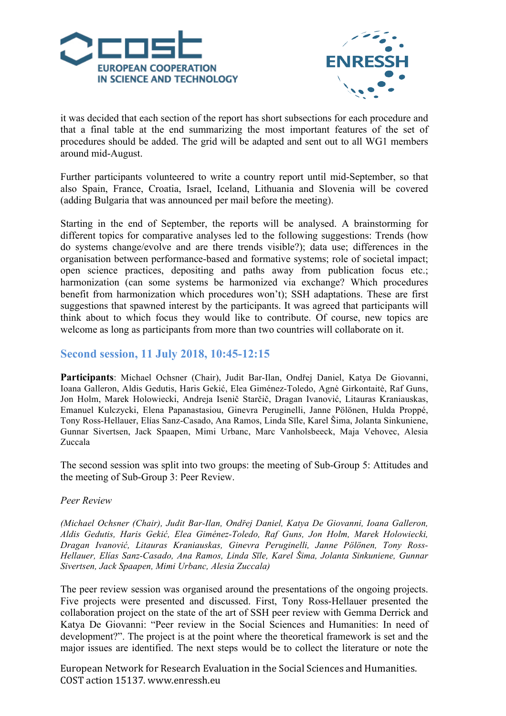



it was decided that each section of the report has short subsections for each procedure and that a final table at the end summarizing the most important features of the set of procedures should be added. The grid will be adapted and sent out to all WG1 members around mid-August.

Further participants volunteered to write a country report until mid-September, so that also Spain, France, Croatia, Israel, Iceland, Lithuania and Slovenia will be covered (adding Bulgaria that was announced per mail before the meeting).

Starting in the end of September, the reports will be analysed. A brainstorming for different topics for comparative analyses led to the following suggestions: Trends (how do systems change/evolve and are there trends visible?); data use; differences in the organisation between performance-based and formative systems; role of societal impact; open science practices, depositing and paths away from publication focus etc.; harmonization (can some systems be harmonized via exchange? Which procedures benefit from harmonization which procedures won't); SSH adaptations. These are first suggestions that spawned interest by the participants. It was agreed that participants will think about to which focus they would like to contribute. Of course, new topics are welcome as long as participants from more than two countries will collaborate on it.

## **Second session, 11 July 2018, 10:45-12:15**

**Participants**: Michael Ochsner (Chair), Judit Bar-Ilan, Ondřej Daniel, Katya De Giovanni, Ioana Galleron, Aldis Gedutis, Haris Gekić, Elea Giménez-Toledo, Agnė Girkontaitė, Raf Guns, Jon Holm, Marek Holowiecki, Andreja Isenič Starčič, Dragan Ivanović, Litauras Kraniauskas, Emanuel Kulczycki, Elena Papanastasiou, Ginevra Peruginelli, Janne Pölönen, Hulda Proppé, Tony Ross-Hellauer, Elías Sanz-Casado, Ana Ramos, Linda Sīle, Karel Šima, Jolanta Sinkuniene, Gunnar Sivertsen, Jack Spaapen, Mimi Urbanc, Marc Vanholsbeeck, Maja Vehovec, Alesia Zuccala

The second session was split into two groups: the meeting of Sub-Group 5: Attitudes and the meeting of Sub-Group 3: Peer Review.

#### *Peer Review*

*(Michael Ochsner (Chair), Judit Bar-Ilan, Ondřej Daniel, Katya De Giovanni, Ioana Galleron, Aldis Gedutis, Haris Gekić, Elea Giménez-Toledo, Raf Guns, Jon Holm, Marek Holowiecki, Dragan Ivanović, Litauras Kraniauskas, Ginevra Peruginelli, Janne Pölönen, Tony Ross-Hellauer, Elías Sanz-Casado, Ana Ramos, Linda Sīle, Karel Šima, Jolanta Sinkuniene, Gunnar Sivertsen, Jack Spaapen, Mimi Urbanc, Alesia Zuccala)*

The peer review session was organised around the presentations of the ongoing projects. Five projects were presented and discussed. First, Tony Ross-Hellauer presented the collaboration project on the state of the art of SSH peer review with Gemma Derrick and Katya De Giovanni: "Peer review in the Social Sciences and Humanities: In need of development?". The project is at the point where the theoretical framework is set and the major issues are identified. The next steps would be to collect the literature or note the

European Network for Research Evaluation in the Social Sciences and Humanities. COST action 15137. www.enressh.eu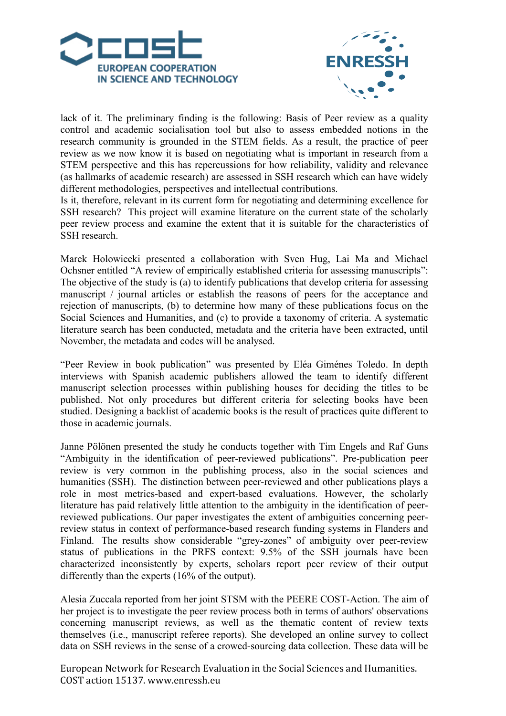



lack of it. The preliminary finding is the following: Basis of Peer review as a quality control and academic socialisation tool but also to assess embedded notions in the research community is grounded in the STEM fields. As a result, the practice of peer review as we now know it is based on negotiating what is important in research from a STEM perspective and this has repercussions for how reliability, validity and relevance (as hallmarks of academic research) are assessed in SSH research which can have widely different methodologies, perspectives and intellectual contributions.

Is it, therefore, relevant in its current form for negotiating and determining excellence for SSH research? This project will examine literature on the current state of the scholarly peer review process and examine the extent that it is suitable for the characteristics of SSH research.

Marek Holowiecki presented a collaboration with Sven Hug, Lai Ma and Michael Ochsner entitled "A review of empirically established criteria for assessing manuscripts": The objective of the study is (a) to identify publications that develop criteria for assessing manuscript / journal articles or establish the reasons of peers for the acceptance and rejection of manuscripts, (b) to determine how many of these publications focus on the Social Sciences and Humanities, and (c) to provide a taxonomy of criteria. A systematic literature search has been conducted, metadata and the criteria have been extracted, until November, the metadata and codes will be analysed.

"Peer Review in book publication" was presented by Eléa Giménes Toledo. In depth interviews with Spanish academic publishers allowed the team to identify different manuscript selection processes within publishing houses for deciding the titles to be published. Not only procedures but different criteria for selecting books have been studied. Designing a backlist of academic books is the result of practices quite different to those in academic journals.

Janne Pölönen presented the study he conducts together with Tim Engels and Raf Guns "Ambiguity in the identification of peer-reviewed publications". Pre-publication peer review is very common in the publishing process, also in the social sciences and humanities (SSH). The distinction between peer-reviewed and other publications plays a role in most metrics-based and expert-based evaluations. However, the scholarly literature has paid relatively little attention to the ambiguity in the identification of peerreviewed publications. Our paper investigates the extent of ambiguities concerning peerreview status in context of performance-based research funding systems in Flanders and Finland. The results show considerable "grey-zones" of ambiguity over peer-review status of publications in the PRFS context: 9.5% of the SSH journals have been characterized inconsistently by experts, scholars report peer review of their output differently than the experts (16% of the output).

Alesia Zuccala reported from her joint STSM with the PEERE COST-Action. The aim of her project is to investigate the peer review process both in terms of authors' observations concerning manuscript reviews, as well as the thematic content of review texts themselves (i.e., manuscript referee reports). She developed an online survey to collect data on SSH reviews in the sense of a crowed-sourcing data collection. These data will be

European Network for Research Evaluation in the Social Sciences and Humanities. COST action 15137. www.enressh.eu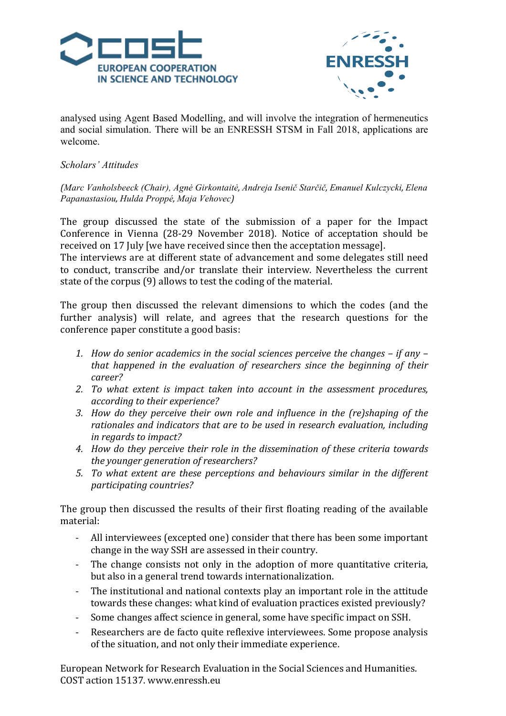



analysed using Agent Based Modelling, and will involve the integration of hermeneutics and social simulation. There will be an ENRESSH STSM in Fall 2018, applications are welcome.

### *Scholars' Attitudes*

*(Marc Vanholsbeeck (Chair), Agnė Girkontaitė, Andreja Isenič Starčič, Emanuel Kulczycki, Elena Papanastasiou, Hulda Proppé, Maja Vehovec)*

The group discussed the state of the submission of a paper for the Impact Conference in Vienna (28-29 November 2018). Notice of acceptation should be received on 17 July [we have received since then the acceptation message].

The interviews are at different state of advancement and some delegates still need to conduct, transcribe and/or translate their interview. Nevertheless the current state of the corpus (9) allows to test the coding of the material.

The group then discussed the relevant dimensions to which the codes (and the further analysis) will relate, and agrees that the research questions for the conference paper constitute a good basis:

- *1.* How do senior academics in the social sciences perceive the changes if any *that happened in the evaluation of researchers since the beginning of their career?*
- 2. To what extent is impact taken into account in the assessment procedures, *according to their experience?*
- *3.* How do they perceive their own role and influence in the (re)shaping of the rationales and indicators that are to be used in research evaluation, including *in regards to impact?*
- 4. How do they perceive their role in the dissemination of these criteria towards *the vounger generation of researchers?*
- 5. To what extent are these perceptions and behaviours similar in the different *participating countries?*

The group then discussed the results of their first floating reading of the available material:

- All interviewees (excepted one) consider that there has been some important change in the way SSH are assessed in their country.
- The change consists not only in the adoption of more quantitative criteria, but also in a general trend towards internationalization.
- The institutional and national contexts play an important role in the attitude towards these changes: what kind of evaluation practices existed previously?
- Some changes affect science in general, some have specific impact on SSH.
- Researchers are de facto quite reflexive interviewees. Some propose analysis of the situation, and not only their immediate experience.

European Network for Research Evaluation in the Social Sciences and Humanities. COST action 15137. www.enressh.eu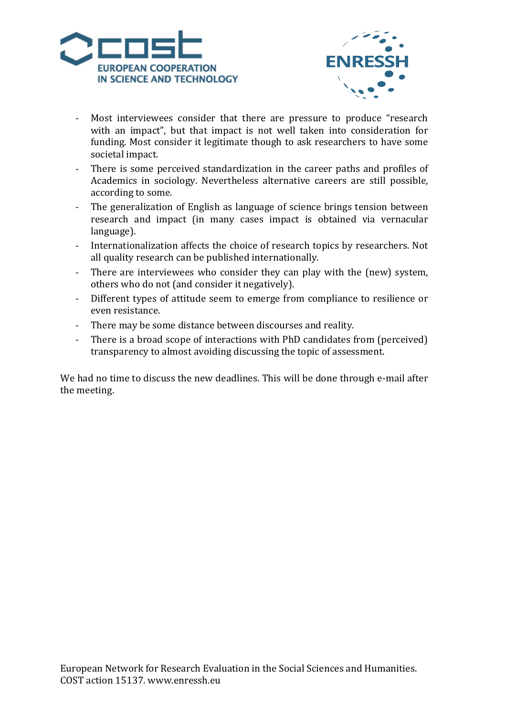



- Most interviewees consider that there are pressure to produce "research with an impact", but that impact is not well taken into consideration for funding. Most consider it legitimate though to ask researchers to have some societal impact.
- There is some perceived standardization in the career paths and profiles of Academics in sociology. Nevertheless alternative careers are still possible, according to some.
- The generalization of English as language of science brings tension between research and impact (in many cases impact is obtained via vernacular language).
- Internationalization affects the choice of research topics by researchers. Not all quality research can be published internationally.
- There are interviewees who consider they can play with the (new) system, others who do not (and consider it negatively).
- Different types of attitude seem to emerge from compliance to resilience or even resistance.
- There may be some distance between discourses and reality.
- There is a broad scope of interactions with PhD candidates from (perceived) transparency to almost avoiding discussing the topic of assessment.

We had no time to discuss the new deadlines. This will be done through e-mail after the meeting.